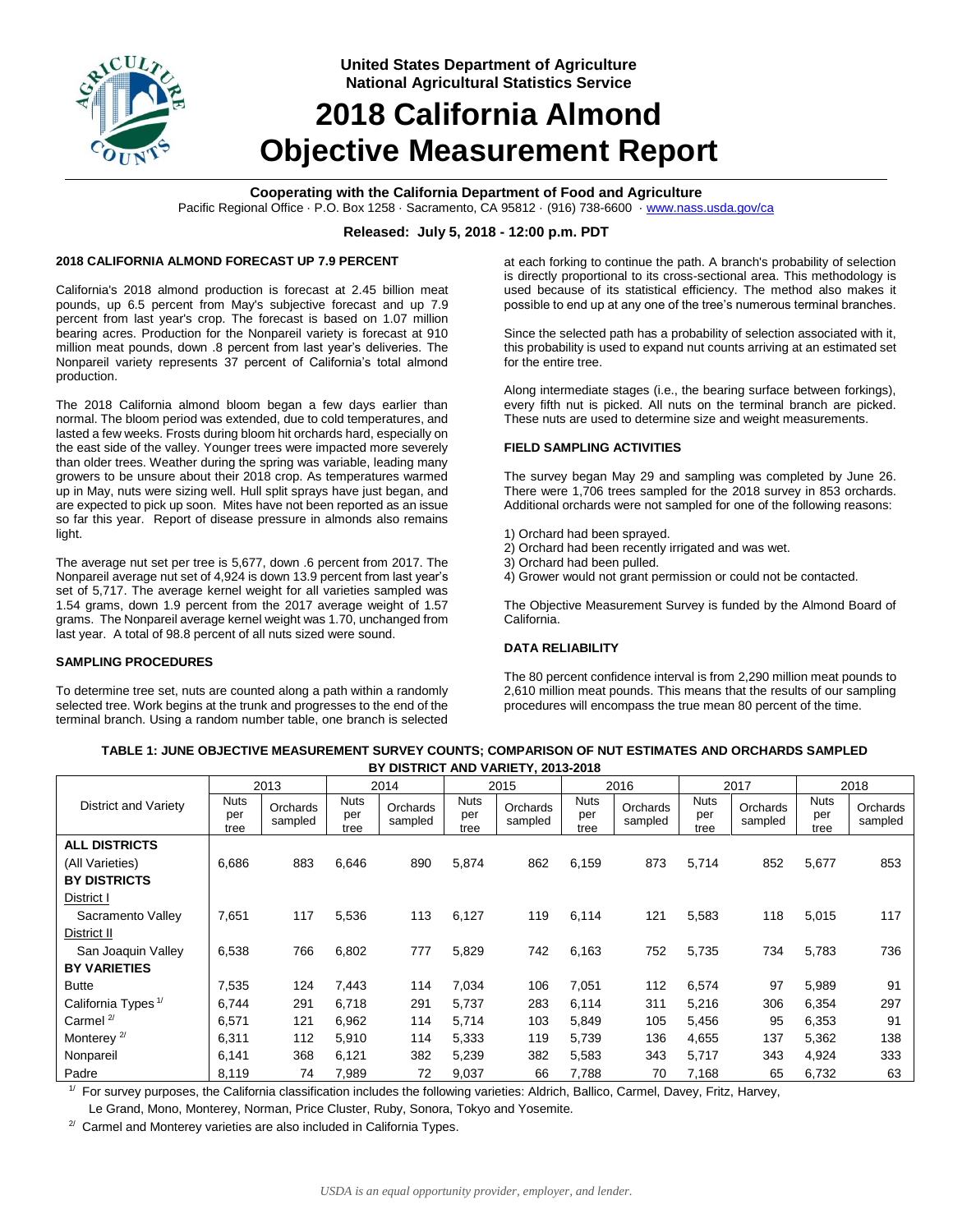

**United States Department of Agriculture National Agricultural Statistics Service**

# **2018 California Almond Objective Measurement Report**

#### **Cooperating with the California Department of Food and Agriculture**

Pacific Regional Office · P.O. Box 1258 · Sacramento, CA 95812 · (916) 738-6600 [· www.nass.usda.gov/ca](http://www.nass.usda.gov/ca)

#### **Released: July 5, 2018 - 12:00 p.m. PDT**

#### **2018 CALIFORNIA ALMOND FORECAST UP 7.9 PERCENT**

California's 2018 almond production is forecast at 2.45 billion meat pounds, up 6.5 percent from May's subjective forecast and up 7.9 percent from last year's crop. The forecast is based on 1.07 million bearing acres. Production for the Nonpareil variety is forecast at 910 million meat pounds, down .8 percent from last year's deliveries. The Nonpareil variety represents 37 percent of California's total almond production.

The 2018 California almond bloom began a few days earlier than normal. The bloom period was extended, due to cold temperatures, and lasted a few weeks. Frosts during bloom hit orchards hard, especially on the east side of the valley. Younger trees were impacted more severely than older trees. Weather during the spring was variable, leading many growers to be unsure about their 2018 crop. As temperatures warmed up in May, nuts were sizing well. Hull split sprays have just began, and are expected to pick up soon. Mites have not been reported as an issue so far this year. Report of disease pressure in almonds also remains light.

The average nut set per tree is 5,677, down .6 percent from 2017. The Nonpareil average nut set of 4,924 is down 13.9 percent from last year's set of 5,717. The average kernel weight for all varieties sampled was 1.54 grams, down 1.9 percent from the 2017 average weight of 1.57 grams. The Nonpareil average kernel weight was 1.70, unchanged from last year. A total of 98.8 percent of all nuts sized were sound.

#### **SAMPLING PROCEDURES**

To determine tree set, nuts are counted along a path within a randomly selected tree. Work begins at the trunk and progresses to the end of the terminal branch. Using a random number table, one branch is selected at each forking to continue the path. A branch's probability of selection is directly proportional to its cross-sectional area. This methodology is used because of its statistical efficiency. The method also makes it possible to end up at any one of the tree's numerous terminal branches.

Since the selected path has a probability of selection associated with it, this probability is used to expand nut counts arriving at an estimated set for the entire tree.

Along intermediate stages (i.e., the bearing surface between forkings), every fifth nut is picked. All nuts on the terminal branch are picked. These nuts are used to determine size and weight measurements.

#### **FIELD SAMPLING ACTIVITIES**

The survey began May 29 and sampling was completed by June 26. There were 1,706 trees sampled for the 2018 survey in 853 orchards. Additional orchards were not sampled for one of the following reasons:

- 1) Orchard had been sprayed.
- 2) Orchard had been recently irrigated and was wet.
- 3) Orchard had been pulled.
- 4) Grower would not grant permission or could not be contacted.

The Objective Measurement Survey is funded by the Almond Board of California.

#### **DATA RELIABILITY**

The 80 percent confidence interval is from 2,290 million meat pounds to 2,610 million meat pounds. This means that the results of our sampling procedures will encompass the true mean 80 percent of the time.

|                                | 2013                |                     | 2014                       |                     | 2015                       |                     | 2016                       |                     | 2017                       |                     | 2018                       |                     |
|--------------------------------|---------------------|---------------------|----------------------------|---------------------|----------------------------|---------------------|----------------------------|---------------------|----------------------------|---------------------|----------------------------|---------------------|
| District and Variety           | Nuts<br>per<br>tree | Orchards<br>sampled | <b>Nuts</b><br>per<br>tree | Orchards<br>sampled | <b>Nuts</b><br>per<br>tree | Orchards<br>sampled | <b>Nuts</b><br>per<br>tree | Orchards<br>sampled | <b>Nuts</b><br>per<br>tree | Orchards<br>sampled | <b>Nuts</b><br>per<br>tree | Orchards<br>sampled |
| <b>ALL DISTRICTS</b>           |                     |                     |                            |                     |                            |                     |                            |                     |                            |                     |                            |                     |
| (All Varieties)                | 6,686               | 883                 | 6,646                      | 890                 | 5,874                      | 862                 | 6,159                      | 873                 | 5,714                      | 852                 | 5,677                      | 853                 |
| <b>BY DISTRICTS</b>            |                     |                     |                            |                     |                            |                     |                            |                     |                            |                     |                            |                     |
| District I                     |                     |                     |                            |                     |                            |                     |                            |                     |                            |                     |                            |                     |
| Sacramento Valley              | 7,651               | 117                 | 5,536                      | 113                 | 6,127                      | 119                 | 6,114                      | 121                 | 5,583                      | 118                 | 5,015                      | 117                 |
| District II                    |                     |                     |                            |                     |                            |                     |                            |                     |                            |                     |                            |                     |
| San Joaquin Valley             | 6,538               | 766                 | 6,802                      | 777                 | 5,829                      | 742                 | 6,163                      | 752                 | 5,735                      | 734                 | 5,783                      | 736                 |
| <b>BY VARIETIES</b>            |                     |                     |                            |                     |                            |                     |                            |                     |                            |                     |                            |                     |
| <b>Butte</b>                   | 7,535               | 124                 | 7.443                      | 114                 | 7,034                      | 106                 | 7,051                      | 112                 | 6,574                      | 97                  | 5,989                      | 91                  |
| California Types <sup>1/</sup> | 6,744               | 291                 | 6.718                      | 291                 | 5,737                      | 283                 | 6,114                      | 311                 | 5,216                      | 306                 | 6,354                      | 297                 |
| Carmel $2/$                    | 6,571               | 121                 | 6.962                      | 114                 | 5.714                      | 103                 | 5,849                      | 105                 | 5,456                      | 95                  | 6,353                      | 91                  |
| Monterey <sup>2/</sup>         | 6,311               | 112                 | 5,910                      | 114                 | 5,333                      | 119                 | 5,739                      | 136                 | 4,655                      | 137                 | 5,362                      | 138                 |
| Nonpareil                      | 6,141               | 368                 | 6,121                      | 382                 | 5,239                      | 382                 | 5,583                      | 343                 | 5,717                      | 343                 | 4,924                      | 333                 |
| Padre                          | 8,119               | 74                  | 7,989                      | 72                  | 9,037                      | 66                  | 7,788                      | 70                  | 7,168                      | 65                  | 6,732                      | 63                  |

**TABLE 1: JUNE OBJECTIVE MEASUREMENT SURVEY COUNTS; COMPARISON OF NUT ESTIMATES AND ORCHARDS SAMPLED BY DISTRICT AND VARIETY, 2013-2018**

1/ For survey purposes, the California classification includes the following varieties: Aldrich, Ballico, Carmel, Davey, Fritz, Harvey,

Le Grand, Mono, Monterey, Norman, Price Cluster, Ruby, Sonora, Tokyo and Yosemite.

<sup>2/</sup> Carmel and Monterey varieties are also included in California Types.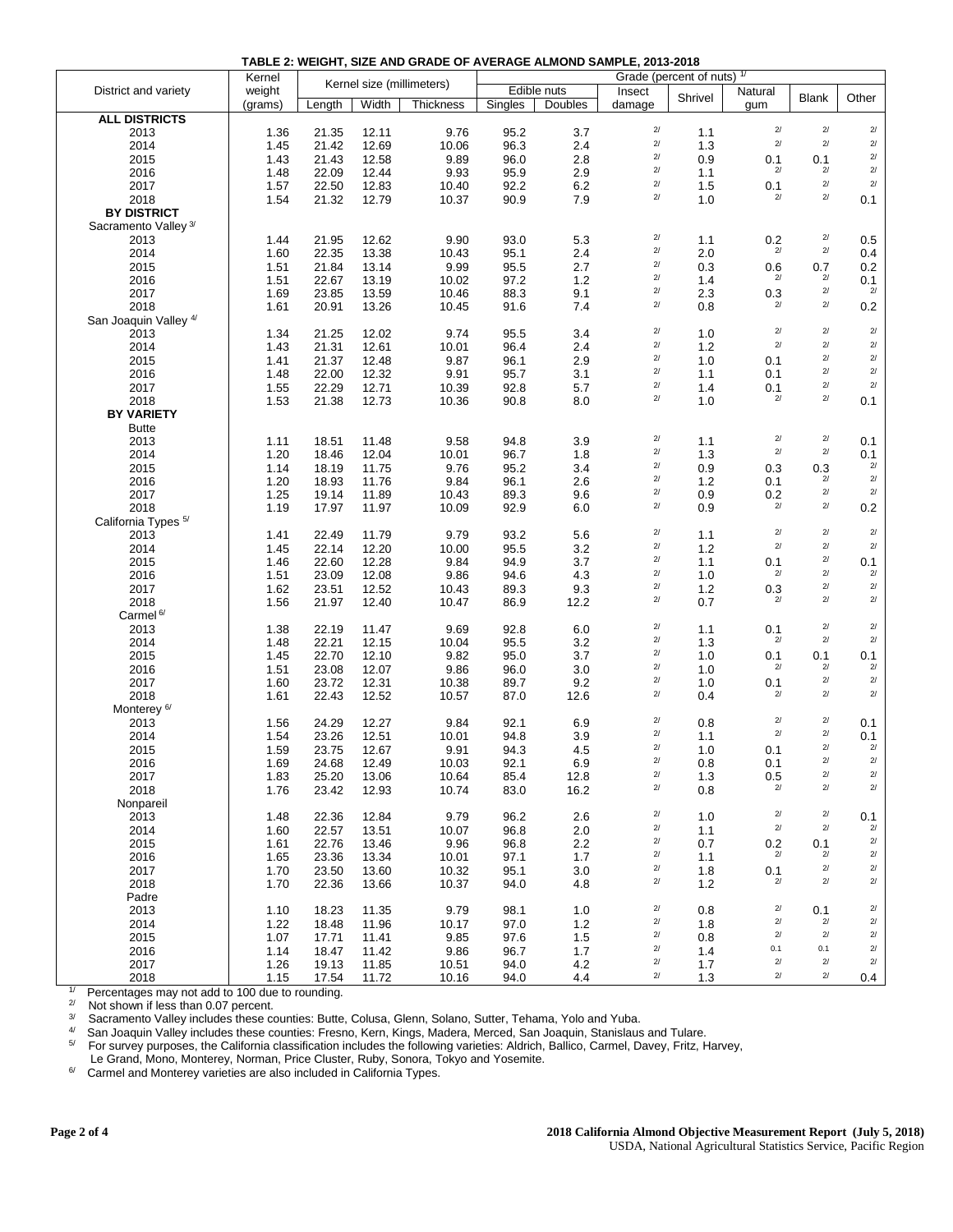| District and vallely                                                                                                                                  | weignt<br>(grams) | Length | Width | <b>Thickness</b> | Singles | EUIDIE HUIS<br>Doubles | <b>IIISECL</b><br>damage                 | Shrivel | natural<br>gum         | <b>Blank</b>           | Other             |
|-------------------------------------------------------------------------------------------------------------------------------------------------------|-------------------|--------|-------|------------------|---------|------------------------|------------------------------------------|---------|------------------------|------------------------|-------------------|
| <b>ALL DISTRICTS</b>                                                                                                                                  |                   |        |       |                  |         |                        |                                          |         |                        |                        |                   |
| 2013                                                                                                                                                  | 1.36              | 21.35  | 12.11 | 9.76             | 95.2    | 3.7                    | $2\prime$                                | 1.1     | $2\prime$              | $2\prime$              | $2\prime$         |
| 2014                                                                                                                                                  | 1.45              | 21.42  | 12.69 | 10.06            | 96.3    | 2.4                    | $2\hspace{0.5pt}/$                       | 1.3     | $2\prime$              | 2/                     | $2\prime$         |
| 2015                                                                                                                                                  | 1.43              | 21.43  | 12.58 | 9.89             | 96.0    | 2.8                    | $2\prime$                                | 0.9     | 0.1                    | 0.1                    | $2\prime$         |
| 2016                                                                                                                                                  | 1.48              | 22.09  | 12.44 | 9.93             | 95.9    | 2.9                    | $2\prime$                                | 1.1     | $2\prime$              | $2\prime$              | $2\prime$         |
| 2017                                                                                                                                                  | 1.57              | 22.50  | 12.83 | 10.40            | 92.2    | $6.2\,$                | $2\hspace{0.5pt}/$                       | 1.5     | 0.1                    | $2\prime$              | $2\prime$         |
| 2018                                                                                                                                                  | 1.54              | 21.32  | 12.79 | 10.37            | 90.9    | 7.9                    | $2\prime$                                | 1.0     | 2/                     | 2/                     | 0.1               |
| <b>BY DISTRICT</b>                                                                                                                                    |                   |        |       |                  |         |                        |                                          |         |                        |                        |                   |
| Sacramento Valley <sup>3/</sup>                                                                                                                       |                   |        |       |                  |         |                        |                                          |         |                        |                        |                   |
| 2013                                                                                                                                                  | 1.44              | 21.95  | 12.62 | 9.90             | 93.0    | 5.3                    | $2/$                                     | 1.1     | 0.2                    | $2\prime$              | 0.5               |
| 2014                                                                                                                                                  | 1.60              | 22.35  | 13.38 | 10.43            | 95.1    | 2.4                    | $2\hspace{0.5pt}/$                       | 2.0     | $2\prime$              | $2\prime$              | 0.4               |
| 2015                                                                                                                                                  | 1.51              | 21.84  | 13.14 | 9.99             | 95.5    | 2.7                    | $2\hspace{0.5pt}/$                       | 0.3     | 0.6                    | 0.7                    | 0.2               |
| 2016                                                                                                                                                  | 1.51              | 22.67  | 13.19 | 10.02            | 97.2    | $1.2$                  | $2\prime$                                | 1.4     | 2/                     | 2/                     | $0.1\atop{}_{2/}$ |
| 2017                                                                                                                                                  | 1.69              | 23.85  | 13.59 | 10.46            | 88.3    | 9.1                    | $2\hspace{0.5pt}/$                       | 2.3     | 0.3                    | $2\prime$              |                   |
| 2018                                                                                                                                                  | 1.61              | 20.91  | 13.26 | 10.45            | 91.6    | 7.4                    | $2/$                                     | 0.8     | 2/                     | 2/                     | 0.2               |
| San Joaquin Valley <sup>4/</sup>                                                                                                                      |                   |        |       |                  |         |                        |                                          |         |                        |                        |                   |
| 2013                                                                                                                                                  | 1.34              | 21.25  | 12.02 | 9.74             | 95.5    | 3.4                    | $2/$                                     | 1.0     | $2\prime$              | $2/$                   | $2\prime$         |
| 2014                                                                                                                                                  | 1.43              | 21.31  | 12.61 | 10.01            | 96.4    | 2.4                    | $2\hspace{0.5pt}/$                       | 1.2     | $2\prime$              | 2/                     | $2\prime$         |
| 2015                                                                                                                                                  | 1.41              | 21.37  | 12.48 | 9.87             | 96.1    | 2.9                    | $2\hspace{0.5pt}/$                       | 1.0     | 0.1                    | $2\prime$              | $2\prime$         |
| 2016                                                                                                                                                  | 1.48              | 22.00  | 12.32 | 9.91             | 95.7    | 3.1                    | $2\prime$                                | 1.1     | 0.1                    | $2\prime$              | $2\prime$         |
| 2017                                                                                                                                                  | 1.55              | 22.29  | 12.71 | 10.39            | 92.8    | 5.7                    | $2\hspace{0.5pt}/$                       | 1.4     | 0.1                    | $2/$                   | $2\prime$         |
| 2018                                                                                                                                                  | 1.53              | 21.38  | 12.73 | 10.36            | 90.8    | 8.0                    | $2\prime$                                | 1.0     | 2/                     | 2/                     | 0.1               |
| <b>BY VARIETY</b>                                                                                                                                     |                   |        |       |                  |         |                        |                                          |         |                        |                        |                   |
| <b>Butte</b>                                                                                                                                          |                   |        |       |                  |         |                        |                                          |         |                        |                        |                   |
| 2013                                                                                                                                                  | 1.11              | 18.51  | 11.48 | 9.58             | 94.8    | 3.9                    | $2\hspace{0.5pt}/$                       | 1.1     | $2\prime$              | $2\prime$              | 0.1               |
| 2014                                                                                                                                                  | 1.20              | 18.46  | 12.04 | 10.01            | 96.7    | 1.8                    | $2\hspace{0.5pt}/$                       | 1.3     | $2\prime$              | $2\prime$              | 0.1               |
| 2015                                                                                                                                                  | 1.14              | 18.19  | 11.75 | 9.76             | 95.2    | 3.4                    | $2\prime$                                | 0.9     | 0.3                    | 0.3                    | $2\prime$         |
| 2016                                                                                                                                                  | 1.20              | 18.93  | 11.76 | 9.84             | 96.1    | 2.6                    | $2\hspace{0.5pt}/$                       | 1.2     | 0.1                    | 2/                     | $2\prime$         |
| 2017                                                                                                                                                  | 1.25              | 19.14  | 11.89 | 10.43            | 89.3    | 9.6                    | $2\hspace{0.5pt}/$                       | 0.9     | 0.2                    | $2\prime$              | $2\prime$         |
| 2018                                                                                                                                                  | 1.19              | 17.97  | 11.97 | 10.09            | 92.9    | 6.0                    | $2\hspace{0.5pt}/$                       | 0.9     | $2\prime$              | $2\prime$              | $0.2\,$           |
| California Types <sup>5/</sup>                                                                                                                        |                   |        |       |                  |         |                        |                                          |         |                        |                        |                   |
| 2013                                                                                                                                                  | 1.41              | 22.49  | 11.79 | 9.79             | 93.2    | 5.6                    | $2\hspace{0.5pt}/$                       | 1.1     | $2\prime$              | $2\prime$              | $2/$              |
| 2014                                                                                                                                                  | 1.45              | 22.14  | 12.20 | 10.00            | 95.5    | 3.2                    | $2\hspace{0.5pt}/$                       | 1.2     | $2\prime$              | $2/$                   | $2/$              |
| 2015                                                                                                                                                  | 1.46              | 22.60  | 12.28 | 9.84             | 94.9    | 3.7                    | $2\hspace{0.5pt}/$                       | 1.1     | 0.1                    | $2\prime$              | 0.1               |
| 2016                                                                                                                                                  | 1.51              | 23.09  | 12.08 | 9.86             | 94.6    | 4.3                    | $2\hspace{0.5pt}/$                       | 1.0     | $2\prime$              | 2/                     | $2\prime$         |
| 2017                                                                                                                                                  | 1.62              | 23.51  | 12.52 | 10.43            | 89.3    | 9.3                    | $2\prime$                                | 1.2     | 0.3                    | $2\prime$              | $2\prime$         |
| 2018                                                                                                                                                  | 1.56              | 21.97  | 12.40 | 10.47            | 86.9    | 12.2                   | $2\prime$                                | 0.7     | 2/                     | 2/                     | $2\prime$         |
| Carmel <sup>6/</sup>                                                                                                                                  |                   |        |       |                  |         |                        |                                          |         |                        |                        |                   |
| 2013                                                                                                                                                  | 1.38              | 22.19  | 11.47 | 9.69             | 92.8    | $6.0\,$                | $2\hspace{0.5pt}/$                       | 1.1     | 0.1                    | $2\prime$              | $2\prime$         |
| 2014                                                                                                                                                  | 1.48              | 22.21  | 12.15 | 10.04            | 95.5    | 3.2                    | $2\hspace{0.5pt}/$                       | 1.3     | 2/                     | $2\prime$              | $2\prime$         |
| 2015                                                                                                                                                  | 1.45              | 22.70  | 12.10 | 9.82             | 95.0    | 3.7                    | $2\hspace{0.5pt}/$                       | 1.0     | 0.1                    | 0.1                    | $0.1\atop{}_{2/}$ |
| 2016                                                                                                                                                  | 1.51              | 23.08  | 12.07 | 9.86             | 96.0    | 3.0                    | $2/$                                     | 1.0     | $2\prime$              | 2/                     |                   |
| 2017                                                                                                                                                  | 1.60              | 23.72  | 12.31 | 10.38            | 89.7    | 9.2                    | $2\hspace{0.5pt}/$                       | 1.0     | 0.1                    | $2\prime$              | $2\prime$         |
| 2018                                                                                                                                                  | 1.61              | 22.43  | 12.52 | 10.57            | 87.0    | 12.6                   | $2\prime$                                | 0.4     | $2^{j}$                | $2^{j}$                | $2\prime$         |
| Monterey <sup>6/</sup>                                                                                                                                |                   |        |       |                  |         |                        |                                          |         |                        |                        |                   |
| 2013                                                                                                                                                  | 1.56              | 24.29  | 12.27 | 9.84             | 92.1    | 6.9                    | $2\prime$                                | 0.8     | $2\prime$<br>$2\prime$ | $2\prime$<br>$2\prime$ | 0.1               |
| 2014                                                                                                                                                  | 1.54              | 23.26  | 12.51 | 10.01            | 94.8    | 3.9                    | $2\hspace{0.5pt}/$                       | 1.1     |                        | $2\prime$              | $0.1\atop{}_{2/}$ |
| 2015                                                                                                                                                  | 1.59              | 23.75  | 12.67 | 9.91             | 94.3    | 4.5                    | $2\hspace{0.5pt}/$<br>$2\hspace{0.5pt}/$ | 1.0     | 0.1                    | $2/$                   |                   |
| 2016                                                                                                                                                  | 1.69              | 24.68  | 12.49 | 10.03            | 92.1    | 6.9                    |                                          | 0.8     | 0.1                    | $2/$                   | $2/$<br>$2\prime$ |
| 2017                                                                                                                                                  | 1.83              | 25.20  | 13.06 | 10.64            | 85.4    | 12.8                   | $2\prime$<br>2/                          | 1.3     | 0.5                    | $2\prime$              | 2/                |
| 2018                                                                                                                                                  | 1.76              | 23.42  | 12.93 | 10.74            | 83.0    | 16.2                   |                                          | 0.8     | 2/                     |                        |                   |
| Nonpareil                                                                                                                                             |                   |        |       |                  |         |                        | $2\prime$                                |         | $2\prime$              | $2\prime$              |                   |
| 2013                                                                                                                                                  | 1.48              | 22.36  | 12.84 | 9.79             | 96.2    | 2.6                    | $2\hspace{0.5pt}/$                       | 1.0     | $2\prime$              | $2/$                   | 0.1<br>2/         |
| 2014                                                                                                                                                  | 1.60              | 22.57  | 13.51 | 10.07            | 96.8    | 2.0                    | $2\hspace{0.5pt}/$                       | 1.1     |                        |                        | 2/                |
| 2015                                                                                                                                                  | 1.61              | 22.76  | 13.46 | 9.96             | 96.8    | 2.2                    | $2\hspace{0.5pt}/$                       | 0.7     | 0.2<br>$2^{j}$         | 0.1<br>2/              | $2\prime$         |
| 2016                                                                                                                                                  | 1.65              | 23.36  | 13.34 | 10.01            | 97.1    | 1.7                    | $2\hspace{0.5pt}/$                       | 1.1     |                        | $2/$                   | $2/$              |
| 2017                                                                                                                                                  | 1.70              | 23.50  | 13.60 | 10.32            | 95.1    | $3.0\,$                | $2/$                                     | 1.8     | 0.1<br>2/              | $2/$                   | 2/                |
| 2018                                                                                                                                                  | 1.70              | 22.36  | 13.66 | 10.37            | 94.0    | 4.8                    |                                          | $1.2$   |                        |                        |                   |
| Padre                                                                                                                                                 |                   |        |       |                  |         |                        |                                          |         |                        |                        | 2/                |
| 2013                                                                                                                                                  | 1.10              | 18.23  | 11.35 | 9.79             | 98.1    | 1.0                    | $2\prime$<br>$2\hspace{0.5pt}/$          | 0.8     | $2\prime$<br>$2\prime$ | 0.1<br>$2/$            | $2/$              |
| 2014                                                                                                                                                  | 1.22              | 18.48  | 11.96 | 10.17            | 97.0    | 1.2                    | $2/$                                     | 1.8     | $2\prime$              | $2\prime$              | $2/$              |
| 2015                                                                                                                                                  | 1.07              | 17.71  | 11.41 | 9.85             | 97.6    | 1.5                    | $2\hspace{0.5pt}/$                       | 0.8     | 0.1                    | 0.1                    | $2\prime$         |
| 2016                                                                                                                                                  | 1.14              | 18.47  | 11.42 | 9.86             | 96.7    | 1.7                    | $2\prime$                                | 1.4     | $2\prime$              | $2\prime$              | 2/                |
| 2017                                                                                                                                                  | 1.26              | 19.13  | 11.85 | 10.51            | 94.0    | 4.2                    | $2\prime$                                | 1.7     | $2/$                   | $2\prime$              |                   |
| 2018                                                                                                                                                  | 1.15              | 17.54  | 11.72 | 10.16            | 94.0    | 4.4                    |                                          | 1.3     |                        |                        | 0.4               |
| Percentages may not add to 100 due to rounding.<br>$2\prime$                                                                                          |                   |        |       |                  |         |                        |                                          |         |                        |                        |                   |
| Not shown if less than 0.07 percent.<br>3/<br>Sacramento Valley includes these counties: Butte, Colusa, Glenn, Solano, Sutter, Tehama, Yolo and Yuba. |                   |        |       |                  |         |                        |                                          |         |                        |                        |                   |
|                                                                                                                                                       |                   |        |       |                  |         |                        |                                          |         |                        |                        |                   |

**TABLE 2: WEIGHT, SIZE AND GRADE OF AVERAGE ALMOND SAMPLE, 2013-2018**

Kernel size (millimeters)<br>  $E$ dible nuts  $\begin{array}{|c|c|c|c|c|c|}\n\hline\n\text{Grade (percent of nuts)} & \text{first} & \text{Natural} \\
\hline\n\end{array}$ Edible nuts

 4/ San Joaquin Valley includes these counties: Fresno, Kern, Kings, Madera, Merced, San Joaquin, Stanislaus and Tulare.

 5/ For survey purposes, the California classification includes the following varieties: Aldrich, Ballico, Carmel, Davey, Fritz, Harvey,

Le Grand, Mono, Monterey, Norman, Price Cluster, Ruby, Sonora, Tokyo and Yosemite.

 6/ Carmel and Monterey varieties are also included in California Types.

District and variety

Kernel weight  $(grams)$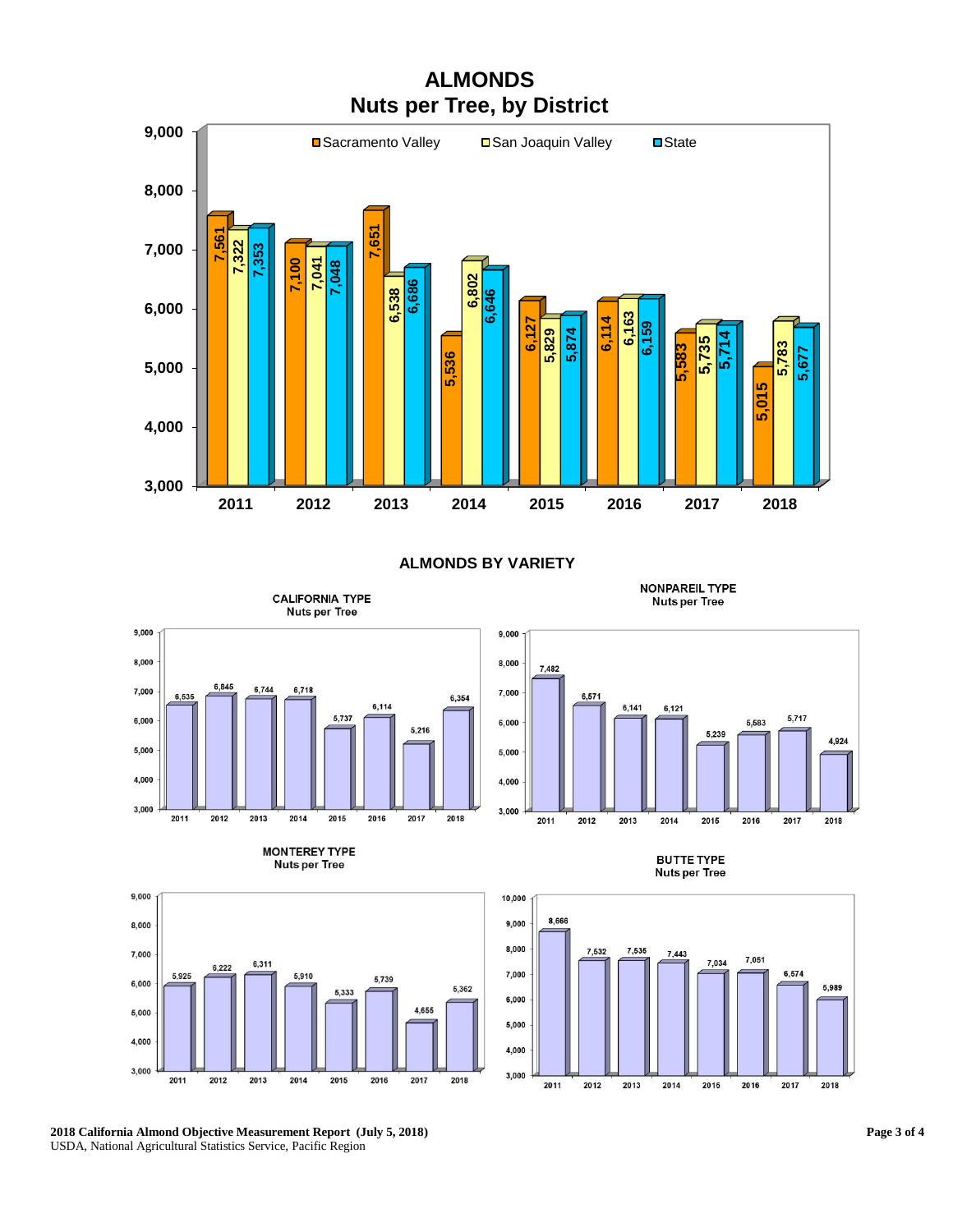

### **ALMONDS BY VARIETY**

 $7,482$ 

2011

6,571

6.141

**CALIFORNIA TYPE Nuts per Tree** 



6.121

5,717

4,924

2018

5,583

5,239





5,910

2014

5,739

2016

4,65

2017

5,333

2015









**2018 California Almond Objective Measurement Report (July 5, 2018)** USDA, National Agricultural Statistics Service, Pacific Region

6,311

2013

6,222

2012

5,925

2011

9,000

8,000

7,000

6,000

5,000

4,000

3,000